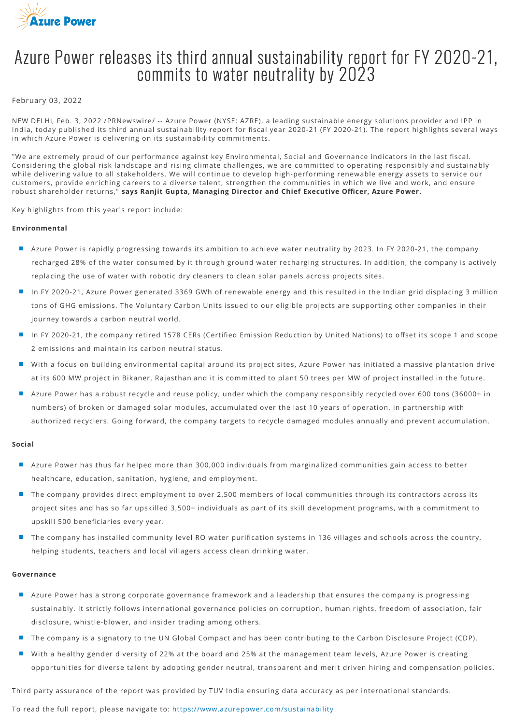

# Azure Power releases its third annual sustainability report for FҮ 2020-21, commits to water neutrality by 2023

## February 03, 2022

NEW DELHI, Feb. 3, 2022 /PRNewswire/ -- Azure Power (NYSE: AZRE), a leading sustainable energy solutions provider and IPP in India, today published its third annual sustainability report for fiscal year 2020-21 (FY 2020-21). The report highlights several ways in which Azure Power is delivering on its sustainability commitments.

"We are extremely proud of our performance against key Environmental, Social and Governance indicators in the last fiscal. Considering the global risk landscape and rising climate challenges, we are committed to operating responsibly and sustainably while delivering value to all stakeholders. We will continue to develop high-performing renewable energy assets to service our customers, provide enriching careers to a diverse talent, strengthen the communities in which we live and work, and ensure robust shareholder returns," says Ranjit Gupta, Managing Director and Chief Executive Officer, Azure Power.

Key highlights from this year's report include:

# **Environmental**

- Azure Power is rapidly progressing towards its ambition to achieve water neutrality by 2023. In FY 2020-21, the company recharged 28% of the water consumed by it through ground water recharging structures. In addition, the company is actively replacing the use of water with robotic dry cleaners to clean solar panels across projects sites.
- In FY 2020-21, Azure Power generated 3369 GWh of renewable energy and this resulted in the Indian grid displacing 3 million tons of GHG emissions. The Voluntary Carbon Units issued to our eligible projects are supporting other companies in their journey towards a carbon neutral world.
- In FY 2020-21, the company retired 1578 CERs (Certified Emission Reduction by United Nations) to offset its scope 1 and scope 2 emissions and maintain its carbon neutral status.
- With a focus on building environmental capital around its project sites, Azure Power has initiated a massive plantation drive at its 600 MW project in Bikaner, Rajasthan and it is committed to plant 50 trees per MW of project installed in the future.
- Azure Power has a robust recycle and reuse policy, under which the company responsibly recycled over 600 tons (36000+ in numbers) of broken or damaged solar modules, accumulated over the last 10 years of operation, in partnership with authorized recyclers. Going forward, the company targets to recycle damaged modules annually and prevent accumulation.

### **Social**

- Azure Power has thus far helped more than 300,000 individuals from marginalized communities gain access to better healthcare, education, sanitation, hygiene, and employment.
- The company provides direct employment to over 2,500 members of local communities through its contractors across its project sites and has so far upskilled 3,500+ individuals as part of its skill development programs, with a commitment to upskill 500 beneficiaries every year.
- The company has installed community level RO water purification systems in 136 villages and schools across the country, helping students, teachers and local villagers access clean drinking water.

### **Governance**

- Azure Power has a strong corporate governance framework and a leadership that ensures the company is progressing sustainably. It strictly follows international governance policies on corruption, human rights, freedom of association, fair disclosure, whistle-blower, and insider trading among others.
- The company is a signatory to the UN Global Compact and has been contributing to the Carbon Disclosure Project (CDP).
- With a healthy gender diversity of 22% at the board and 25% at the management team levels, Azure Power is creating opportunities for diverse talent by adopting gender neutral, transparent and merit driven hiring and compensation policies.

Third party assurance of the report was provided by TUV India ensuring data accuracy as per international standards.

To read the full report, please navigate to: <https://www.azurepower.com/sustainability>